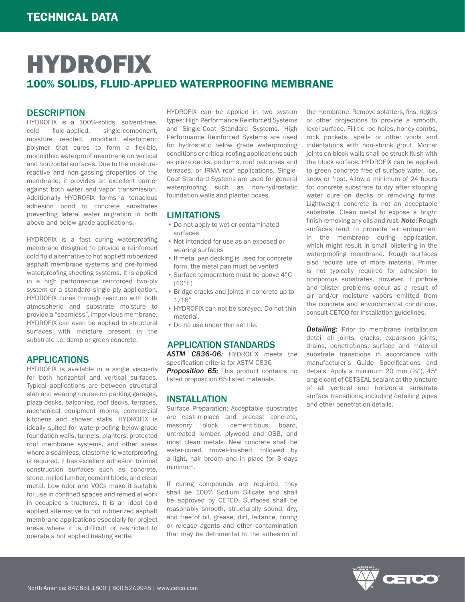#### **DESCRIPTION**

HYDROFIX is a 100%-solids, solvent-free, cold fluid-applied, single-component, moisture reacted, modified elastomeric polymer that cures to form a flexible, monolithic, waterproof membrane on vertical and horizontal surfaces. Due to the moisturereactive and non-gassing properties of the membrane, it provides an excellent barrier against both water and vapor transmission. Additionally HYDROFIX forms a tenacious adhesion bond to concrete substrates preventing lateral water migration in both above-and below-grade applications.

HYDROFIX is a fast curing waterproofing membrane designed to provide a reinforced cold fluid alternative to hot applied rubberized asphalt membrane systems and pre-formed waterproofing sheeting systems. It is applied in a high performance reinforced two-ply system or a standard single ply application. HYDROFIX cures through reaction with both atmospheric and substrate moisture to provide a "seamless", impervious membrane. HYDROFIX can even be applied to structural surfaces with moisture present in the substrate i.e. damp or green concrete.

### APPLICATIONS

HYDROFIX is available in a single viscosity for both horizontal and vertical surfaces. Typical applications are between structural slab and wearing course on parking garages, plaza decks, balconies, roof decks, terraces, mechanical equipment rooms, commercial kitchens and shower stalls. HYDROFIX is ideally suited for waterproofing below-grade foundation walls, tunnels, planters, protected roof membrane systems, and other areas where a seamless, elastomeric waterproofing is required. It has excellent adhesion to most construction surfaces such as concrete, stone, milled lumber, cement block, and clean metal. Low odor and VOCs make it suitable for use in confined spaces and remedial work in occupied s tructures. It is an ideal cold applied alternative to hot rubberized asphalt membrane applications especially for project areas where it is difficult or restricted to operate a hot applied heating kettle.

HYDROFIX can be applied in two system types: High Performance Reinforced Systems and Single-Coat Standard Systems. High Performance Reinforced Systems are used for hydrostatic below grade waterproofing conditions or critical roofing applications such as plaza decks, podiums, roof balconies and terraces, or IRMA roof applications. Single-Coat Standard Systems are used for general waterproofing such as non-hydrostatic foundation walls and planter boxes.

#### LIMITATIONS

- Do not apply to wet or contaminated surfaces
- Not intended for use as an exposed or wearing surfaces
- If metal pan decking is used for concrete form, the metal pan must be vented
- Surface temperature must be above 4°C  $(40°F)$
- Bridge cracks and joints in concrete up to  $1/16"$
- HYDROFIX can not be sprayed. Do not thin material.
- Do no use under thin set tile.

#### APPLICATION STANDARDS

*ASTM C836-06:* HYDROFIX meets the specification criteria for ASTM C836 **Proposition 65:** This product contains no listed proposition 65 listed materials.

#### INSTALLATION

Surface Preparation: Acceptable substrates are cast-in-place and precast concrete, masonry block, cementitious board, untreated lumber, plywood and OSB, and most clean metals. New concrete shall be water-cured, trowel-finished, followed by a light, hair broom and in place for 3 days minimum.

If curing compounds are required, they shall be 100% Sodium Silicate and shall be approved by CETCO. Surfaces shall be reasonably smooth, structurally sound, dry, and free of oil, grease, dirt, laitance, curing or release agents and other contamination that may be detrimental to the adhesion of the membrane. Remove splatters, fins, ridges or other projections to provide a smooth, level surface. Fill tie rod holes, honey combs, rock pockets, spalls or other voids and indentations with non-shrink grout. Mortar joints on block walls shall be struck flush with the block surface. HYDROFIX can be applied to green concrete free of surface water, ice, snow or frost. Allow a minimum of 24 hours for concrete substrate to dry after stopping water cure on decks or removing forms. Lightweight concrete is not an acceptable substrate. Clean metal to expose a bright finish removing any oils and rust. *Note:* Rough surfaces tend to promote air entrapment in the membrane during application, which might result in small blistering in the waterproofing membrane. Rough surfaces also require use of more material. Primer is not typically required for adhesion to nonporous substrates. However, if pinhole and blister problems occur as a result of air and/or moisture vapors emitted from the concrete and environmental conditions, consult CETCO for installation guidelines.

**Detailing:** Prior to membrane installation detail all joints, cracks, expansion joints, drains, penetrations, surface and material substrate transitions in accordance with manufacturer's Guide Specifications and details. Apply a minimum 20 mm (¾"), 45º angle cant of CETSEAL sealant at the juncture of all vertical and horizontal substrate surface transitions; including detailing pipes and other penetration details.

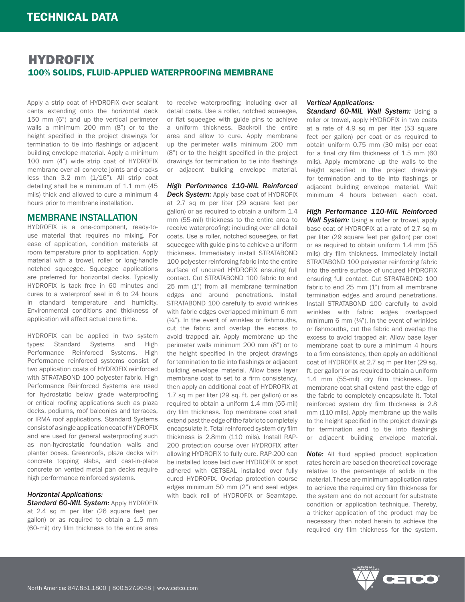Apply a strip coat of HYDROFIX over sealant cants extending onto the horizontal deck 150 mm (6") and up the vertical perimeter walls a minimum 200 mm (8") or to the height specified in the project drawings for termination to tie into flashings or adjacent building envelope material. Apply a minimum 100 mm (4") wide strip coat of HYDROFIX membrane over all concrete joints and cracks less than 3.2 mm (1/16"). All strip coat detailing shall be a minimum of 1.1 mm (45 mils) thick and allowed to cure a minimum 4 hours prior to membrane installation.

#### MEMBRANE INSTALLATION

HYDROFIX is a one-component, ready-touse material that requires no mixing. For ease of application, condition materials at room temperature prior to application. Apply material with a trowel, roller or long-handle notched squeegee. Squeegee applications are preferred for horizontal decks. Typically HYDROFIX is tack free in 60 minutes and cures to a waterproof seal in 6 to 24 hours in standard temperature and humidity. Environmental conditions and thickness of application will affect actual cure time.

HYDROFIX can be applied in two system types: Standard Systems and High Performance Reinforced Systems. High Performance reinforced systems consist of two application coats of HYDROFIX reinforced with STRATABOND 100 polyester fabric. High Performance Reinforced Systems are used for hydrostatic below grade waterproofing or critical roofing applications such as plaza decks, podiums, roof balconies and terraces, or IRMA roof applications. Standard Systems consist of a single application coat of HYDROFIX and are used for general waterproofing such as non-hydrostatic foundation walls and planter boxes. Greenroofs, plaza decks with concrete topping slabs, and cast-in-place concrete on vented metal pan decks require high performance reinforced systems.

#### *Horizontal Applications:*

*Standard 60-MIL System: Apply HYDROFIX* at 2.4 sq m per liter (26 square feet per gallon) or as required to obtain a 1.5 mm (60-mil) dry film thickness to the entire area to receive waterproofing; including over all detail coats. Use a roller, notched squeegee, or flat squeegee with guide pins to achieve a uniform thickness. Backroll the entire area and allow to cure. Apply membrane up the perimeter walls minimum 200 mm (8") or to the height specified in the project drawings for termination to tie into flashings or adjacent building envelope material.

*High Performance 110-MIL Reinforced*  **Deck System:** Apply base coat of HYDROFIX at 2.7 sq m per liter (29 square feet per gallon) or as required to obtain a uniform 1.4 mm (55-mil) thickness to the entire area to receive waterproofing; including over all detail coats. Use a roller, notched squeegee, or flat squeegee with guide pins to achieve a uniform thickness. Immediately install STRATABOND 100 polyester reinforcing fabric into the entire surface of uncured HYDROFIX ensuring full contact. Cut STRATABOND 100 fabric to end 25 mm (1") from all membrane termination edges and around penetrations. Install STRATABOND 100 carefully to avoid wrinkles with fabric edges overlapped minimum 6 mm (¼"). In the event of wrinkles or fishmouths, cut the fabric and overlap the excess to avoid trapped air. Apply membrane up the perimeter walls minimum 200 mm (8") or to the height specified in the project drawings for termination to tie into flashings or adjacent building envelope material. Allow base layer membrane coat to set to a firm consistency, then apply an additional coat of HYDROFIX at 1.7 sq m per liter (29 sq. ft. per gallon) or as required to obtain a uniform 1.4 mm (55-mil) dry film thickness. Top membrane coat shall extend past the edge of the fabric to completely encapsulate it. Total reinforced system dry film thickness is 2.8mm (110 mils). Install RAP-200 protection course over HYDROFIX after allowing HYDROFIX to fully cure. RAP-200 can be installed loose laid over HYDROFIX or spot adhered with CETSEAL installed over fully cured HYDROFIX. Overlap protection course edges minimum 50 mm (2") and seal edges with back roll of HYDROFIX or Seamtape.

#### *Vertical Applications:*

*Standard 60-MIL Wall System:* Using a roller or trowel, apply HYDROFIX in two coats at a rate of 4.9 sq m per liter (53 square feet per gallon) per coat or as required to obtain uniform 0.75 mm (30 mils) per coat for a final dry film thickness of 1.5 mm (60 mils). Apply membrane up the walls to the height specified in the project drawings for termination and to tie into flashings or adjacent building envelope material. Wait minimum 4 hours between each coat.

*High Performance 110-MIL Reinforced Wall System:* Using a roller or trowel, apply base coat of HYDROFIX at a rate of 2.7 sq m per liter (29 square feet per gallon) per coat or as required to obtain uniform 1.4 mm (55 mils) dry film thickness. Immediately install STRATABOND 100 polyester reinforcing fabric into the entire surface of uncured HYDROFIX ensuring full contact. Cut STRATABOND 100 fabric to end  $25$  mm  $(1")$  from all membrane termination edges and around penetrations. Install STRATABOND 100 carefully to avoid wrinkles with fabric edges overlapped minimum 6 mm  $(44)$ . In the event of wrinkles or fishmouths, cut the fabric and overlap the excess to avoid trapped air. Allow base layer membrane coat to cure a minimum 4 hours to a firm consistency, then apply an additional coat of HYDROFIX at 2.7 sq m per liter (29 sq. ft. per gallon) or as required to obtain a uniform 1.4 mm (55-mil) dry film thickness. Top membrane coat shall extend past the edge of the fabric to completely encapsulate it. Total reinforced system dry film thickness is 2.8 mm (110 mils). Apply membrane up the walls to the height specified in the project drawings for termination and to tie into flashings or adjacent building envelope material.

**Note:** All fluid applied product application rates herein are based on theoretical coverage relative to the percentage of solids in the material. These are minimum application rates to achieve the required dry film thickness for the system and do not account for substrate condition or application technique. Thereby, a thicker application of the product may be necessary then noted herein to achieve the required dry film thickness for the system.

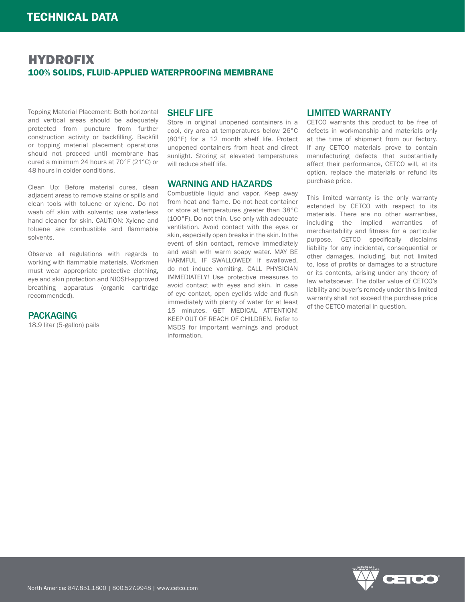Topping Material Placement: Both horizontal and vertical areas should be adequately protected from puncture from further construction activity or backfilling. Backfill or topping material placement operations should not proceed until membrane has cured a minimum 24 hours at 70°F (21°C) or 48 hours in colder conditions.

Clean Up: Before material cures, clean adjacent areas to remove stains or spills and clean tools with toluene or xylene. Do not wash off skin with solvents; use waterless hand cleaner for skin. CAUTION: Xylene and toluene are combustible and flammable solvents.

Observe all regulations with regards to working with flammable materials. Workmen must wear appropriate protective clothing, eye and skin protection and NIOSH-approved breathing apparatus (organic cartridge recommended).

#### PACKAGING

18.9 liter (5-gallon) pails

### SHELF LIFE

Store in original unopened containers in a cool, dry area at temperatures below 26°C (80°F) for a 12 month shelf life. Protect unopened containers from heat and direct sunlight. Storing at elevated temperatures will reduce shelf life.

#### WARNING AND HAZARDS

Combustible liquid and vapor. Keep away from heat and flame. Do not heat container or store at temperatures greater than 38°C (100°F). Do not thin. Use only with adequate ventilation. Avoid contact with the eyes or skin, especially open breaks in the skin. In the event of skin contact, remove immediately and wash with warm soapy water. MAY BE HARMFUL IF SWALLOWED! If swallowed, do not induce vomiting. CALL PHYSICIAN IMMEDIATELY! Use protective measures to avoid contact with eyes and skin. In case of eye contact, open eyelids wide and flush immediately with plenty of water for at least 15 minutes. GET MEDICAL ATTENTION! KEEP OUT OF REACH OF CHILDREN. Refer to MSDS for important warnings and product information.

#### LIMITED WARRANTY

CETCO warrants this product to be free of defects in workmanship and materials only at the time of shipment from our factory. If any CETCO materials prove to contain manufacturing defects that substantially affect their performance, CETCO will, at its option, replace the materials or refund its purchase price.

This limited warranty is the only warranty extended by CETCO with respect to its materials. There are no other warranties, including the implied warranties of merchantability and fitness for a particular purpose. CETCO specifically disclaims liability for any incidental, consequential or other damages, including, but not limited to, loss of profits or damages to a structure or its contents, arising under any theory of law whatsoever. The dollar value of CETCO's liability and buyer's remedy under this limited warranty shall not exceed the purchase price of the CETCO material in question.